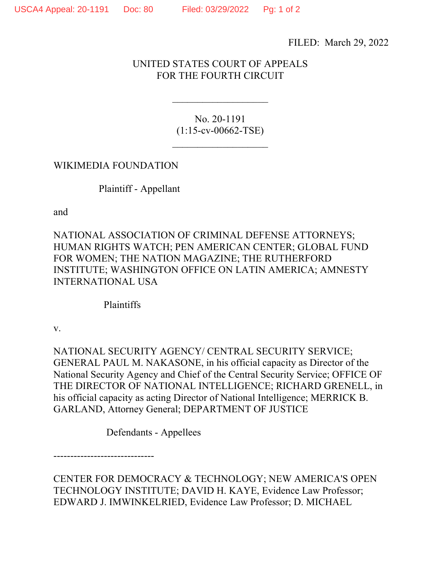FILED: March 29, 2022

## UNITED STATES COURT OF APPEALS FOR THE FOURTH CIRCUIT

No. 20-1191 (1:15-cv-00662-TSE)

 $\overline{\phantom{a}}$  , where  $\overline{\phantom{a}}$ 

 $\mathcal{L}_\text{max}$  , where  $\mathcal{L}_\text{max}$ 

WIKIMEDIA FOUNDATION

Plaintiff - Appellant

and

NATIONAL ASSOCIATION OF CRIMINAL DEFENSE ATTORNEYS; HUMAN RIGHTS WATCH; PEN AMERICAN CENTER; GLOBAL FUND FOR WOMEN; THE NATION MAGAZINE; THE RUTHERFORD INSTITUTE; WASHINGTON OFFICE ON LATIN AMERICA; AMNESTY INTERNATIONAL USA

Plaintiffs

v.

NATIONAL SECURITY AGENCY/ CENTRAL SECURITY SERVICE; GENERAL PAUL M. NAKASONE, in his official capacity as Director of the National Security Agency and Chief of the Central Security Service; OFFICE OF THE DIRECTOR OF NATIONAL INTELLIGENCE; RICHARD GRENELL, in his official capacity as acting Director of National Intelligence; MERRICK B. GARLAND, Attorney General; DEPARTMENT OF JUSTICE

Defendants - Appellees

------------------------------

CENTER FOR DEMOCRACY & TECHNOLOGY; NEW AMERICA'S OPEN TECHNOLOGY INSTITUTE; DAVID H. KAYE, Evidence Law Professor; EDWARD J. IMWINKELRIED, Evidence Law Professor; D. MICHAEL